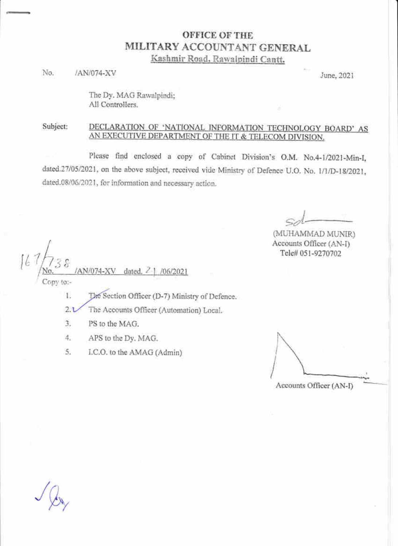## **OFFICE OF THE** MILITARY ACCOUNTANT GENERAL Kashmir Road, Rawalpindi Cantt.

No. /AN/074-XV

June, 2021

The Dy. MAG Rawalpindi; All Controllers.

## Subject: DECLARATION OF 'NATIONAL INFORMATION TECHNOLOGY BOARD' AS AN EXECUTIVE DEPARTMENT OF THE IT & TELECOM DIVISION.

Please find enclosed a copy of Cabinet Division's O.M. No.4-1/2021-Min-I, dated.27/05/2021, on the above subject, received vide Ministry of Defence U.O. No. 1/1/D-18/2021, dated.08/06/2021, for information and necessary action.

(MUHAMMAD MUNIR) Accounts Officer (AN-I) Tele# 051-9270702

AN/074-XV /06/2021 dated. DDV-tot- $1.$ The Section Officer (D-7) Ministry of Defence.

 $2.1$ The Accounts Officer (Automation) Local.

- 3. PS to the MAG.
- $4.$ APS to the Dy. MAG.
- 5. I.C.O. to the AMAG (Admin)

Accounts Officer (AN-I)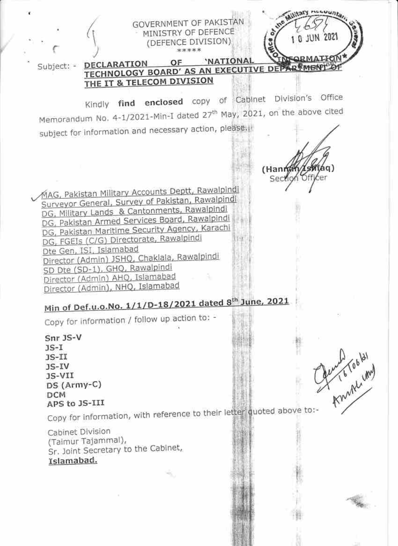

JS-VII  $DS(Army-C)$ **DCM** APS to JS-III

Copy for information, with reference to their letter quoted above to:-

Cabinet Division (Taimur Tajammal), Sr. Joint Secretary to the Cabinet, Islamabad.